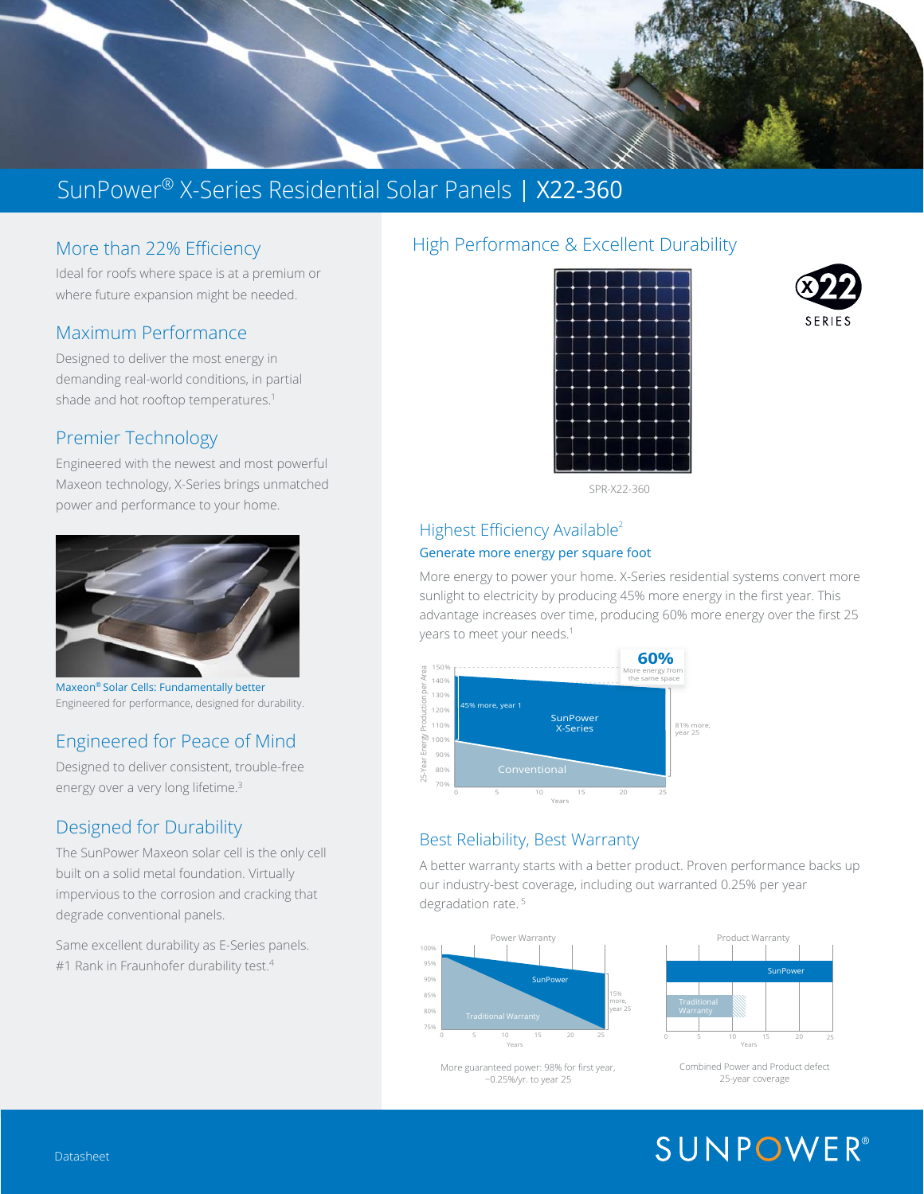

### More than 22% Efficiency

Ideal for roofs where space is at a premium or where future expansion might be needed.

#### Maximum Performance

Designed to deliver the most energy in demanding real-world conditions, in partial shade and hot rooftop temperatures.<sup>1</sup>

#### Premier Technology

Engineered with the newest and most powerful Maxeon technology, X-Series brings unmatched power and performance to your home.



Maxeon® Solar Cells: Fundamentally better Engineered for performance, designed for durability.

#### Engineered for Peace of Mind

Designed to deliver consistent, trouble-free energy over a very long lifetime.<sup>3</sup>

#### Designed for Durability

The SunPower Maxeon solar cell is the only cell built on a solid metal foundation. Virtually impervious to the corrosion and cracking that degrade conventional panels.

Same excellent durability as E-Series panels. #1 Rank in Fraunhofer durability test.<sup>4</sup>

#### High Performance & Excellent Durability





SPR-X22-360

#### Highest Efficiency Available<sup>2</sup> Generate more energy per square foot

More energy to power your home. X-Series residential systems convert more sunlight to electricity by producing 45% more energy in the first year. This advantage increases over time, producing 60% more energy over the first 25 years to meet your needs.<sup>1</sup>



#### Best Reliability, Best Warranty

A better warranty starts with a better product. Proven performance backs up our industry-best coverage, including out warranted 0.25% per year degradation rate.<sup>5</sup>



More guaranteed power: 98% for first year, −0.25%/yr. to year 25



Combined Power and Product defect 25year coverage

# **SUNPOWER®**